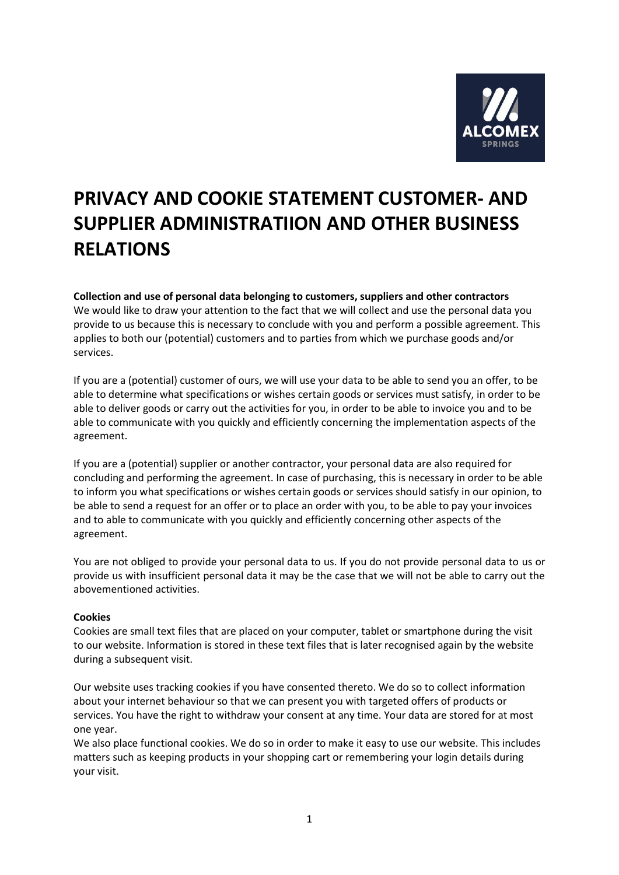

# **PRIVACY AND COOKIE STATEMENT CUSTOMER- AND SUPPLIER ADMINISTRATIION AND OTHER BUSINESS RELATIONS**

# **Collection and use of personal data belonging to customers, suppliers and other contractors**

We would like to draw your attention to the fact that we will collect and use the personal data you provide to us because this is necessary to conclude with you and perform a possible agreement. This applies to both our (potential) customers and to parties from which we purchase goods and/or services.

If you are a (potential) customer of ours, we will use your data to be able to send you an offer, to be able to determine what specifications or wishes certain goods or services must satisfy, in order to be able to deliver goods or carry out the activities for you, in order to be able to invoice you and to be able to communicate with you quickly and efficiently concerning the implementation aspects of the agreement.

If you are a (potential) supplier or another contractor, your personal data are also required for concluding and performing the agreement. In case of purchasing, this is necessary in order to be able to inform you what specifications or wishes certain goods or services should satisfy in our opinion, to be able to send a request for an offer or to place an order with you, to be able to pay your invoices and to able to communicate with you quickly and efficiently concerning other aspects of the agreement.

You are not obliged to provide your personal data to us. If you do not provide personal data to us or provide us with insufficient personal data it may be the case that we will not be able to carry out the abovementioned activities.

## **Cookies**

Cookies are small text files that are placed on your computer, tablet or smartphone during the visit to our website. Information is stored in these text files that is later recognised again by the website during a subsequent visit.

Our website uses tracking cookies if you have consented thereto. We do so to collect information about your internet behaviour so that we can present you with targeted offers of products or services. You have the right to withdraw your consent at any time. Your data are stored for at most one year.

We also place functional cookies. We do so in order to make it easy to use our website. This includes matters such as keeping products in your shopping cart or remembering your login details during your visit.